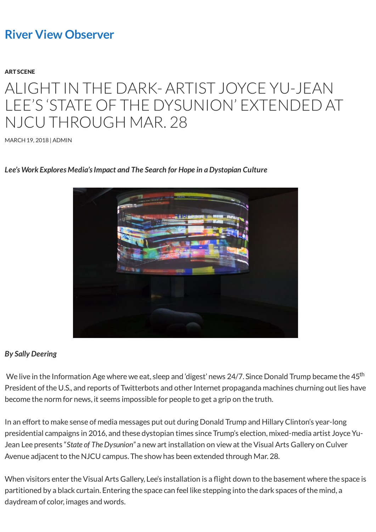## **[River View Observer](http://riverviewobserver.net/)**

#### [ART SCENE](http://riverviewobserver.net/category/art-scene/)

# ALIGHT IN THE DARK- ARTIST JOYCE YU-JEAN LEE'S 'STATE OF THE DYSUNION' EXTENDED AT NJCU THROUGH MAR. 28

[MARCH 19, 2018](http://riverviewobserver.net/2018/03/alight-dark-artist-joyce-yu-jean-lees-state-dysunion-extended-njcu-mar-28/) | [ADMIN](http://riverviewobserver.net/author/admin-2/)

### *Lee's Work Explores Media's Impact and The Search for Hope in a Dystopian Culture*



### *By Sally Deering*

We live in the Information Age where we eat, sleep and 'digest' news 24/7. Since Donald Trump became the 45<sup>th</sup> President of the U.S., and reports of Twitterbots and other Internet propaganda machines churning out lies have become the norm for news, it seems impossible for people to get a grip on the truth.

In an effort to make sense of media messages put out during Donald Trump and Hillary Clinton's year-long presidential campaigns in 2016, and these dystopian times since Trump's election, mixed-media artist Joyce Yu-Jean Lee presents "*State of The Dysunion"* a new art installation on view at the Visual Arts Gallery on Culver Avenue adjacent to the NJCU campus. The show has been extended through Mar. 28.

When visitors enter the Visual Arts Gallery, Lee's installation is a flight down to the basement where the space is partitioned by a black curtain. Entering the space can feel like stepping into the dark spaces of the mind, a daydream of color, images and words.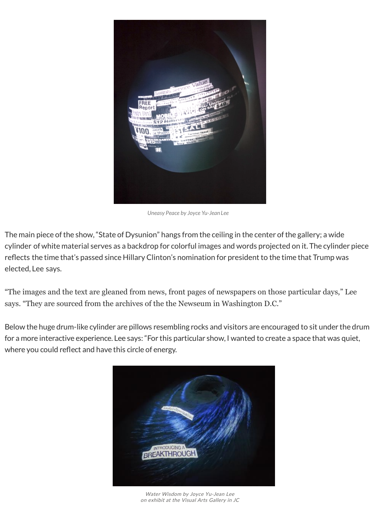

*Uneasy Peace by Joyce Yu-Jean Lee*

The main piece of the show, "State of Dysunion" hangs from the ceiling in the center of the gallery; a wide cylinder of white material serves as a backdrop for colorful images and words projected on it. The cylinder piece reflects the time that's passed since Hillary Clinton's nomination for president to the time that Trump was elected, Lee says.

"The images and the text are gleaned from news, front pages of newspapers on those particular days," Lee says. "They are sourced from the archives of the the Newseum in Washington D.C."

Below the huge drum-like cylinder are pillows resembling rocks and visitors are encouraged to sit under the drum for a more interactive experience. Lee says: "For this particular show, I wanted to create a space that was quiet, where you could reflect and have this circle of energy.



Water Wisdom by Joyce Yu-Jean Lee [on exhibit at the Visual Arts](http://riverviewobserver.net/2018/03/alight-dark-artist-joyce-yu-jean-lees-state-dysunion-extended-njcu-mar-28/alight-in-the-dark-3/) Gallery in JC